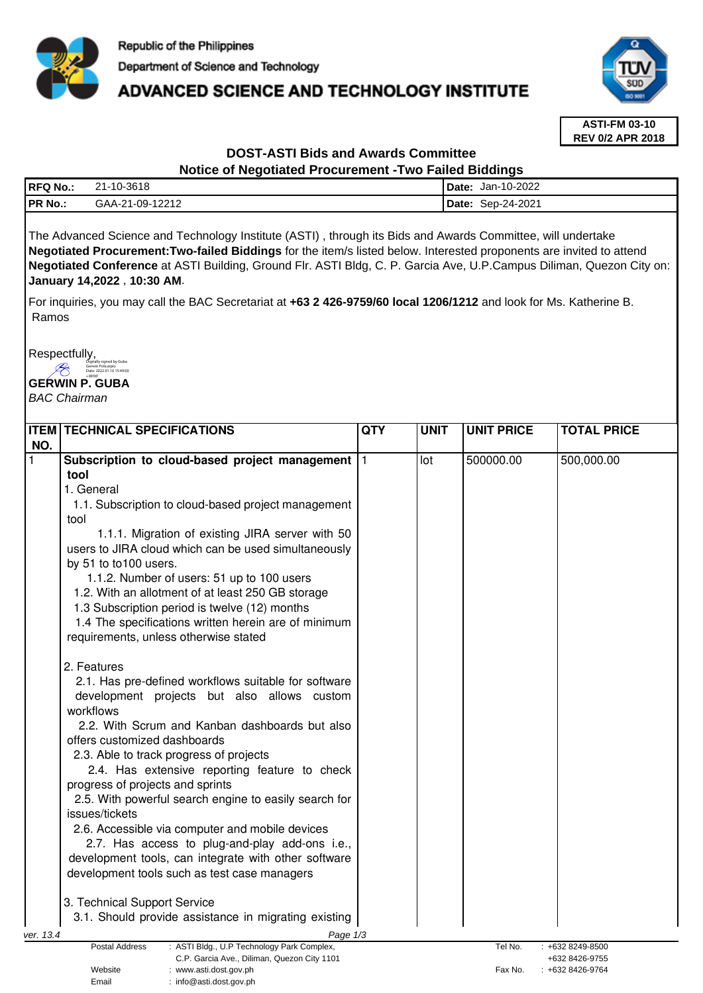

# **ADVANCED SCIENCE AND TECHNOLOGY INSTITUTE**



**ASTI-FM 03-10 REV 0/2 APR 2018**

# **DOST-ASTI Bids and Awards Committee**

# **Notice of Negotiated Procurement -Two Failed Biddings**

| <b>RFQ No.:</b> | 21-10-3618      | Date: | Jan-10-2022 |
|-----------------|-----------------|-------|-------------|
| 'PR No.:        | GAA-21-09-12212 | Date: | Sep-24-2021 |
|                 |                 |       |             |

The Advanced Science and Technology Institute (ASTI) , through its Bids and Awards Committee, will undertake **Negotiated Procurement:Two-failed Biddings** for the item/s listed below. Interested proponents are invited to attend **Negotiated Conference** at ASTI Building, Ground Flr. ASTI Bldg, C. P. Garcia Ave, U.P.Campus Diliman, Quezon City on: **January 14,2022** , **10:30 AM**.

For inquiries, you may call the BAC Secretariat at **+63 2 426-9759/60 local 1206/1212** and look for Ms. Katherine B. Ramos

Respectfully,

Digitally signed by Guba Gerwin Policarpio Date: 2022.01.10 15:49:00  $\mathscr{L}$ 

**GERWIN P. GUBA** 

Email : info@asti.dost.gov.ph

BAC Chairman

|           | <b>ITEM TECHNICAL SPECIFICATIONS</b>                                                                        | <b>QTY</b> | <b>UNIT</b> | <b>UNIT PRICE</b> | <b>TOTAL PRICE</b>                 |
|-----------|-------------------------------------------------------------------------------------------------------------|------------|-------------|-------------------|------------------------------------|
| NO.       |                                                                                                             |            |             |                   |                                    |
| 1         | Subscription to cloud-based project management  1                                                           |            | lot         | 500000.00         | 500,000.00                         |
|           | tool                                                                                                        |            |             |                   |                                    |
|           | 1. General                                                                                                  |            |             |                   |                                    |
|           | 1.1. Subscription to cloud-based project management                                                         |            |             |                   |                                    |
|           | tool                                                                                                        |            |             |                   |                                    |
|           | 1.1.1. Migration of existing JIRA server with 50                                                            |            |             |                   |                                    |
|           | users to JIRA cloud which can be used simultaneously                                                        |            |             |                   |                                    |
|           | by 51 to to100 users.                                                                                       |            |             |                   |                                    |
|           | 1.1.2. Number of users: 51 up to 100 users                                                                  |            |             |                   |                                    |
|           | 1.2. With an allotment of at least 250 GB storage                                                           |            |             |                   |                                    |
|           | 1.3 Subscription period is twelve (12) months                                                               |            |             |                   |                                    |
|           | 1.4 The specifications written herein are of minimum                                                        |            |             |                   |                                    |
|           | requirements, unless otherwise stated                                                                       |            |             |                   |                                    |
|           | 2. Features                                                                                                 |            |             |                   |                                    |
|           | 2.1. Has pre-defined workflows suitable for software                                                        |            |             |                   |                                    |
|           | development projects but also allows custom                                                                 |            |             |                   |                                    |
|           | workflows                                                                                                   |            |             |                   |                                    |
|           | 2.2. With Scrum and Kanban dashboards but also                                                              |            |             |                   |                                    |
|           | offers customized dashboards                                                                                |            |             |                   |                                    |
|           | 2.3. Able to track progress of projects                                                                     |            |             |                   |                                    |
|           | 2.4. Has extensive reporting feature to check                                                               |            |             |                   |                                    |
|           | progress of projects and sprints                                                                            |            |             |                   |                                    |
|           | 2.5. With powerful search engine to easily search for                                                       |            |             |                   |                                    |
|           | issues/tickets                                                                                              |            |             |                   |                                    |
|           | 2.6. Accessible via computer and mobile devices                                                             |            |             |                   |                                    |
|           | 2.7. Has access to plug-and-play add-ons i.e.,                                                              |            |             |                   |                                    |
|           | development tools, can integrate with other software                                                        |            |             |                   |                                    |
|           | development tools such as test case managers                                                                |            |             |                   |                                    |
|           |                                                                                                             |            |             |                   |                                    |
|           | 3. Technical Support Service                                                                                |            |             |                   |                                    |
|           | 3.1. Should provide assistance in migrating existing                                                        |            |             |                   |                                    |
| ver. 13.4 | Page 1/3                                                                                                    |            |             |                   |                                    |
|           | Postal Address<br>: ASTI Bldg., U.P Technology Park Complex,<br>C.P. Garcia Ave., Diliman, Quezon City 1101 |            |             | Tel No.           | : +632 8249-8500<br>+632 8426-9755 |
|           | Website<br>www.asti.dost.gov.ph                                                                             |            |             | Fax No.           | : +632 8426-9764                   |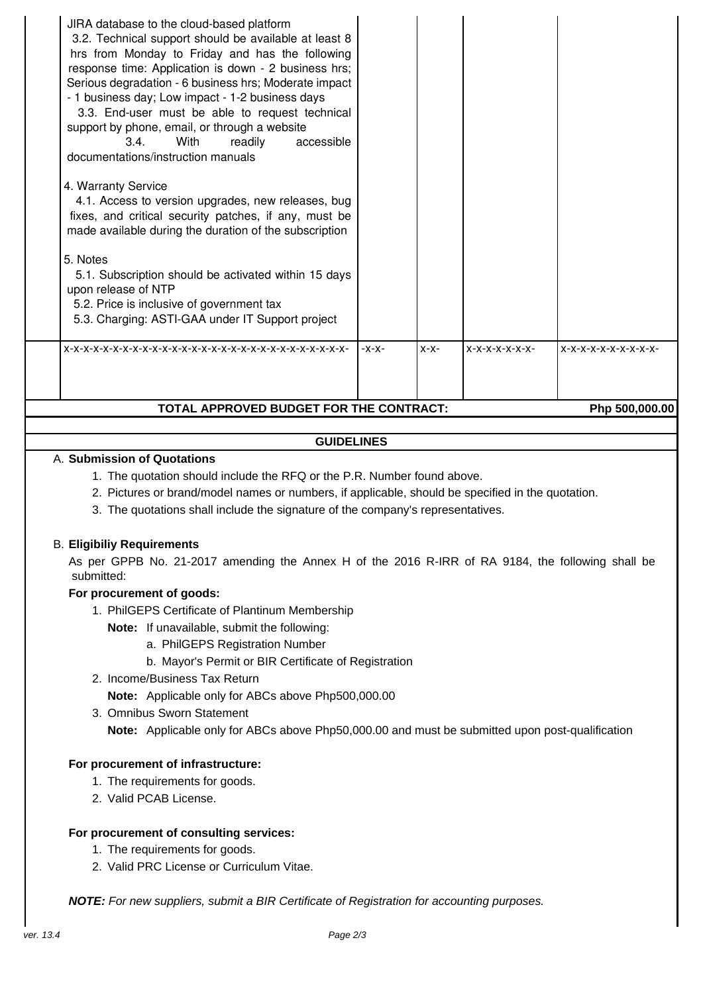| TOTAL APPROVED BUDGET FOR THE CONTRACT:<br>Php 500,000.00                                                                                                                                                                                                                                                                                                                                                                                      |                       |         |        |                |                     |  |
|------------------------------------------------------------------------------------------------------------------------------------------------------------------------------------------------------------------------------------------------------------------------------------------------------------------------------------------------------------------------------------------------------------------------------------------------|-----------------------|---------|--------|----------------|---------------------|--|
|                                                                                                                                                                                                                                                                                                                                                                                                                                                |                       | $-X-X-$ | $X-X-$ | $X-X-X-X-X-X-$ | $X-X-X-X-X-X-X-X-X$ |  |
| 3.4.<br>With<br>documentations/instruction manuals<br>4. Warranty Service<br>4.1. Access to version upgrades, new releases, bug<br>fixes, and critical security patches, if any, must be<br>made available during the duration of the subscription<br>5. Notes<br>5.1. Subscription should be activated within 15 days<br>upon release of NTP<br>5.2. Price is inclusive of government tax<br>5.3. Charging: ASTI-GAA under IT Support project | accessible<br>readily |         |        |                |                     |  |
| JIRA database to the cloud-based platform<br>3.2. Technical support should be available at least 8<br>hrs from Monday to Friday and has the following<br>response time: Application is down - 2 business hrs;<br>Serious degradation - 6 business hrs; Moderate impact<br>- 1 business day; Low impact - 1-2 business days<br>3.3. End-user must be able to request technical<br>support by phone, email, or through a website                 |                       |         |        |                |                     |  |

## **GUIDELINES**

## A. **Submission of Quotations**

- 1. The quotation should include the RFQ or the P.R. Number found above.
- 2. Pictures or brand/model names or numbers, if applicable, should be specified in the quotation.
- 3. The quotations shall include the signature of the company's representatives.

### B. **Eligibiliy Requirements**

As per GPPB No. 21-2017 amending the Annex H of the 2016 R-IRR of RA 9184, the following shall be submitted:

### **For procurement of goods:**

- 1. PhilGEPS Certificate of Plantinum Membership
	- **Note:** If unavailable, submit the following:
		- a. PhilGEPS Registration Number
		- b. Mayor's Permit or BIR Certificate of Registration
- 2. Income/Business Tax Return

**Note:** Applicable only for ABCs above Php500,000.00

3. Omnibus Sworn Statement **Note:** Applicable only for ABCs above Php50,000.00 and must be submitted upon post-qualification

### **For procurement of infrastructure:**

- 1. The requirements for goods.
- 2. Valid PCAB License.

### **For procurement of consulting services:**

- 1. The requirements for goods.
- 2. Valid PRC License or Curriculum Vitae.

**NOTE:** For new suppliers, submit a BIR Certificate of Registration for accounting purposes.